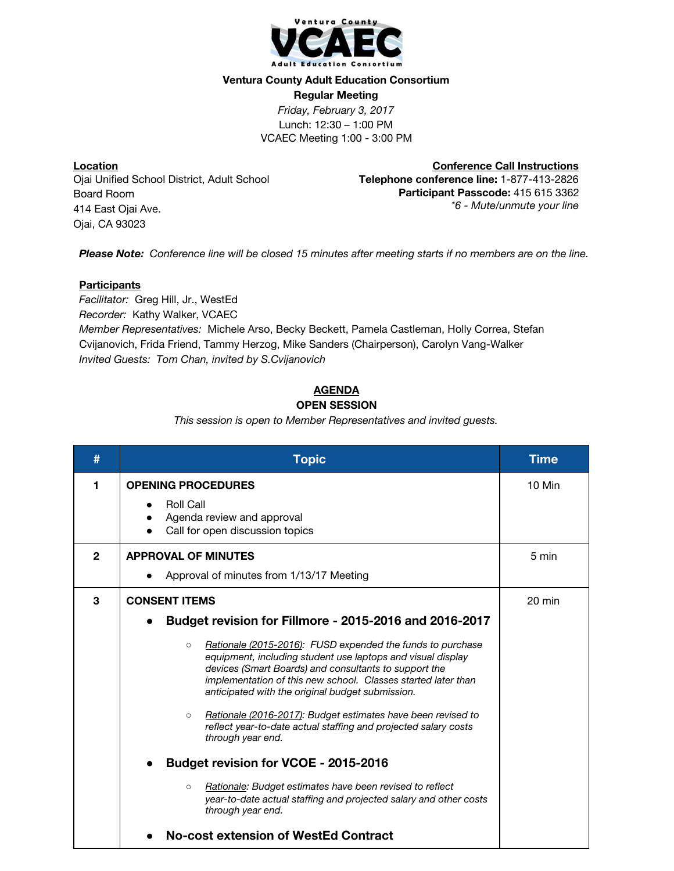

### **Ventura County Adult Education Consortium**

**Regular Meeting** *Friday, February 3, 2017* Lunch: 12:30 – 1:00 PM

VCAEC Meeting 1:00 - 3:00 PM

**Location** Ojai Unified School District, Adult School Board Room 414 East Ojai Ave. Ojai, CA 93023

**Conference Call Instructions Telephone conference line:** 1-877-413-2826 **Participant Passcode:** 415 615 3362 *\*6 - Mute/unmute your line*

*Please Note: Conference line will be closed 15 minutes after meeting starts if no members are on the line.*

### **Participants**

*Facilitator:* Greg Hill, Jr., WestEd *Recorder:* Kathy Walker, VCAEC *Member Representatives:* Michele Arso, Becky Beckett, Pamela Castleman, Holly Correa, Stefan Cvijanovich, Frida Friend, Tammy Herzog, Mike Sanders (Chairperson), Carolyn Vang-Walker *Invited Guests: Tom Chan, invited by S.Cvijanovich*

## **AGENDA**

## **OPEN SESSION**

*This session is open to Member Representatives and invited guests.*

| #            | <b>Topic</b>                                                                                                                                                                                                                                                                                                                                                                                                                                                                                                                                                                                                                                                                                                                                                                            | <b>Time</b>      |
|--------------|-----------------------------------------------------------------------------------------------------------------------------------------------------------------------------------------------------------------------------------------------------------------------------------------------------------------------------------------------------------------------------------------------------------------------------------------------------------------------------------------------------------------------------------------------------------------------------------------------------------------------------------------------------------------------------------------------------------------------------------------------------------------------------------------|------------------|
| 1            | <b>OPENING PROCEDURES</b><br><b>Roll Call</b><br>Agenda review and approval<br>Call for open discussion topics                                                                                                                                                                                                                                                                                                                                                                                                                                                                                                                                                                                                                                                                          | 10 Min           |
| $\mathbf{2}$ | <b>APPROVAL OF MINUTES</b><br>Approval of minutes from 1/13/17 Meeting                                                                                                                                                                                                                                                                                                                                                                                                                                                                                                                                                                                                                                                                                                                  | 5 min            |
| 3            | <b>CONSENT ITEMS</b><br>Budget revision for Fillmore - 2015-2016 and 2016-2017<br>Rationale (2015-2016): FUSD expended the funds to purchase<br>$\circ$<br>equipment, including student use laptops and visual display<br>devices (Smart Boards) and consultants to support the<br>implementation of this new school. Classes started later than<br>anticipated with the original budget submission.<br>Rationale (2016-2017): Budget estimates have been revised to<br>$\circ$<br>reflect year-to-date actual staffing and projected salary costs<br>through year end.<br><b>Budget revision for VCOE - 2015-2016</b><br>Rationale: Budget estimates have been revised to reflect<br>$\circ$<br>year-to-date actual staffing and projected salary and other costs<br>through year end. | $20 \text{ min}$ |
|              | No-cost extension of WestEd Contract                                                                                                                                                                                                                                                                                                                                                                                                                                                                                                                                                                                                                                                                                                                                                    |                  |